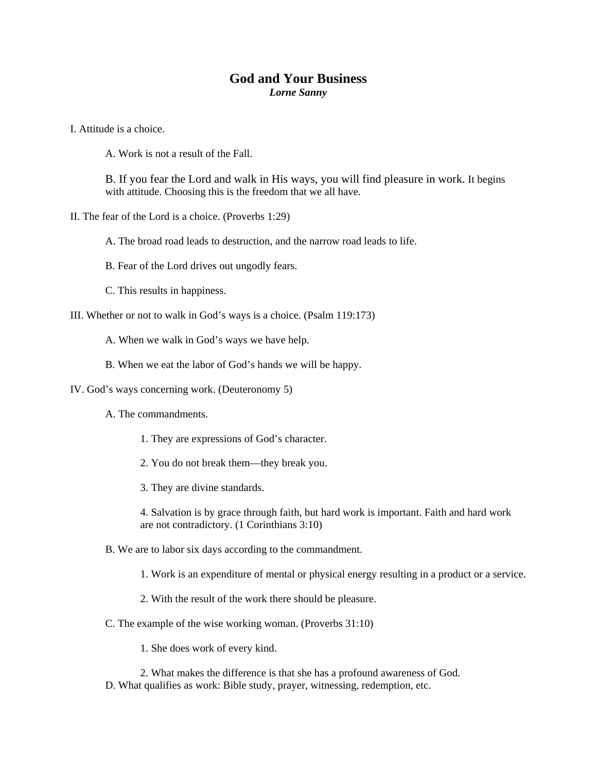## **God and Your Business**

*Lorne Sanny* 

I. Attitude is a choice.

A. Work is not a result of the Fall.

B. If you fear the Lord and walk in His ways, you will find pleasure in work. It begins with attitude. Choosing this is the freedom that we all have.

II. The fear of the Lord is a choice. (Proverbs 1:29)

A. The broad road leads to destruction, and the narrow road leads to life.

- B. Fear of the Lord drives out ungodly fears.
- C. This results in happiness.

III. Whether or not to walk in God's ways is a choice. (Psalm 119:173)

A. When we walk in God's ways we have help.

B. When we eat the labor of God's hands we will be happy.

IV. God's ways concerning work. (Deuteronomy 5)

- A. The commandments.
	- 1. They are expressions of God's character.
	- 2. You do not break them—they break you.

3. They are divine standards.

4. Salvation is by grace through faith, but hard work is important. Faith and hard work are not contradictory. (1 Corinthians 3:10)

B. We are to labor six days according to the commandment.

1. Work is an expenditure of mental or physical energy resulting in a product or a service.

2. With the result of the work there should be pleasure.

C. The example of the wise working woman. (Proverbs 31:10)

1. She does work of every kind.

2. What makes the difference is that she has a profound awareness of God. D. What qualifies as work: Bible study, prayer, witnessing, redemption, etc.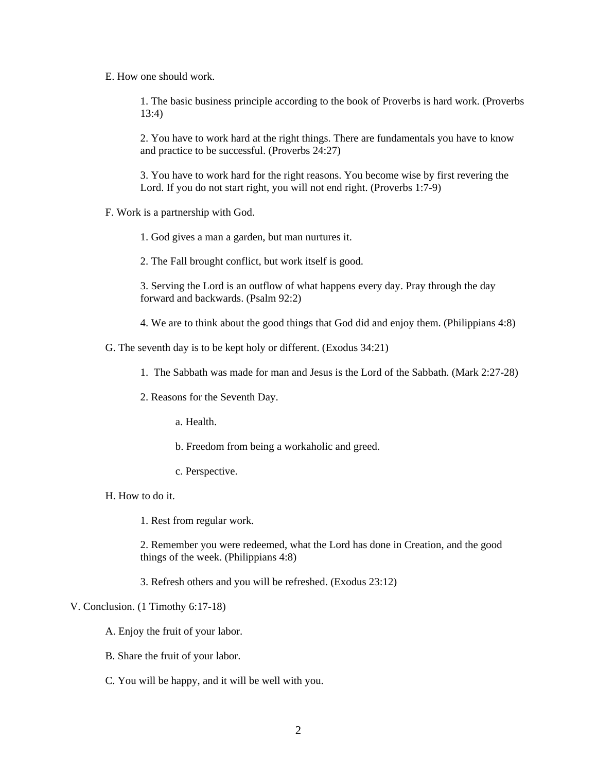E. How one should work.

1. The basic business principle according to the book of Proverbs is hard work. (Proverbs 13:4)

2. You have to work hard at the right things. There are fundamentals you have to know and practice to be successful. (Proverbs 24:27)

3. You have to work hard for the right reasons. You become wise by first revering the Lord. If you do not start right, you will not end right. (Proverbs 1:7-9)

F. Work is a partnership with God.

1. God gives a man a garden, but man nurtures it.

2. The Fall brought conflict, but work itself is good.

3. Serving the Lord is an outflow of what happens every day. Pray through the day forward and backwards. (Psalm 92:2)

4. We are to think about the good things that God did and enjoy them. (Philippians 4:8)

G. The seventh day is to be kept holy or different. (Exodus 34:21)

1. The Sabbath was made for man and Jesus is the Lord of the Sabbath. (Mark 2:27-28)

2. Reasons for the Seventh Day.

a. Health.

b. Freedom from being a workaholic and greed.

c. Perspective.

H. How to do it.

1. Rest from regular work.

2. Remember you were redeemed, what the Lord has done in Creation, and the good things of the week. (Philippians 4:8)

3. Refresh others and you will be refreshed. (Exodus 23:12)

## V. Conclusion. (1 Timothy 6:17-18)

A. Enjoy the fruit of your labor.

B. Share the fruit of your labor.

C. You will be happy, and it will be well with you.